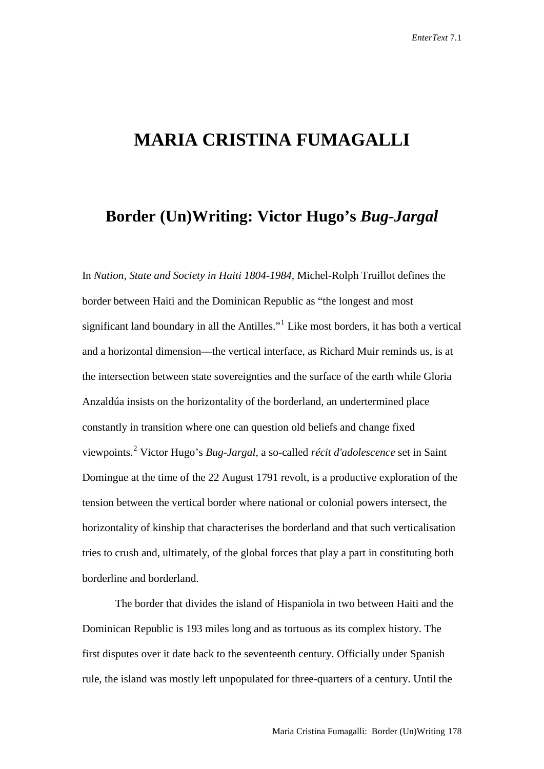## **MARIA CRISTINA FUMAGALLI**

## **Border (Un)Writing: Victor Hugo's** *Bug-Jargal*

In *Nation, State and Society in Haiti 1804-1984*, Michel-Rolph Truillot defines the border between Haiti and the Dominican Republic as "the longest and most significant land boundary in all the Antilles."<sup>[1](#page-15-0)</sup> Like most borders, it has both a vertical and a horizontal dimension—the vertical interface, as Richard Muir reminds us, is at the intersection between state sovereignties and the surface of the earth while Gloria Anzaldúa insists on the horizontality of the borderland, an undertermined place constantly in transition where one can question old beliefs and change fixed viewpoints.[2](#page-15-1) Victor Hugo's *Bug-Jargal*, a so-called *récit d'adolescence* set in Saint Domingue at the time of the 22 August 1791 revolt, is a productive exploration of the tension between the vertical border where national or colonial powers intersect, the horizontality of kinship that characterises the borderland and that such verticalisation tries to crush and, ultimately, of the global forces that play a part in constituting both borderline and borderland.

The border that divides the island of Hispaniola in two between Haiti and the Dominican Republic is 193 miles long and as tortuous as its complex history. The first disputes over it date back to the seventeenth century. Officially under Spanish rule, the island was mostly left unpopulated for three-quarters of a century. Until the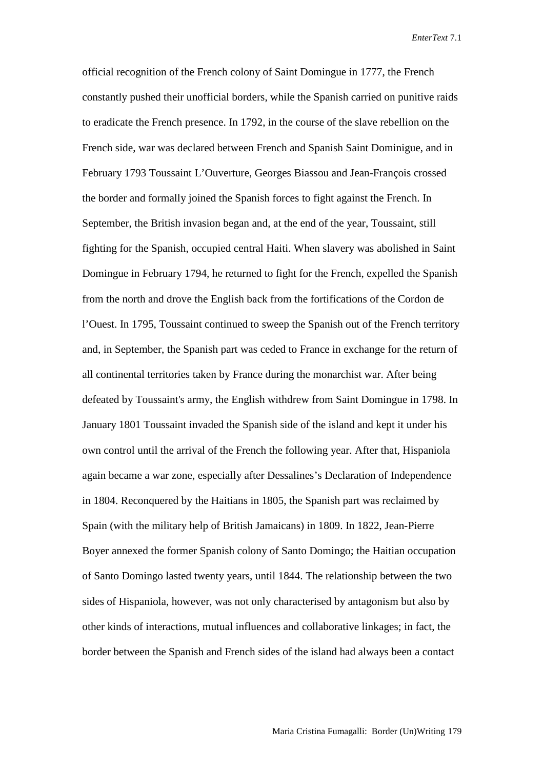official recognition of the French colony of Saint Domingue in 1777, the French constantly pushed their unofficial borders, while the Spanish carried on punitive raids to eradicate the French presence. In 1792, in the course of the slave rebellion on the French side, war was declared between French and Spanish Saint Dominigue, and in February 1793 Toussaint L'Ouverture, Georges Biassou and Jean-François crossed the border and formally joined the Spanish forces to fight against the French. In September, the British invasion began and, at the end of the year, Toussaint, still fighting for the Spanish, occupied central Haiti. When slavery was abolished in Saint Domingue in February 1794, he returned to fight for the French, expelled the Spanish from the north and drove the English back from the fortifications of the Cordon de l'Ouest. In 1795, Toussaint continued to sweep the Spanish out of the French territory and, in September, the Spanish part was ceded to France in exchange for the return of all continental territories taken by France during the monarchist war. After being defeated by Toussaint's army, the English withdrew from Saint Domingue in 1798. In January 1801 Toussaint invaded the Spanish side of the island and kept it under his own control until the arrival of the French the following year. After that, Hispaniola again became a war zone, especially after Dessalines's Declaration of Independence in 1804. Reconquered by the Haitians in 1805, the Spanish part was reclaimed by Spain (with the military help of British Jamaicans) in 1809. In 1822, Jean-Pierre Boyer annexed the former Spanish colony of Santo Domingo; the Haitian occupation of Santo Domingo lasted twenty years, until 1844. The relationship between the two sides of Hispaniola, however, was not only characterised by antagonism but also by other kinds of interactions, mutual influences and collaborative linkages; in fact, the border between the Spanish and French sides of the island had always been a contact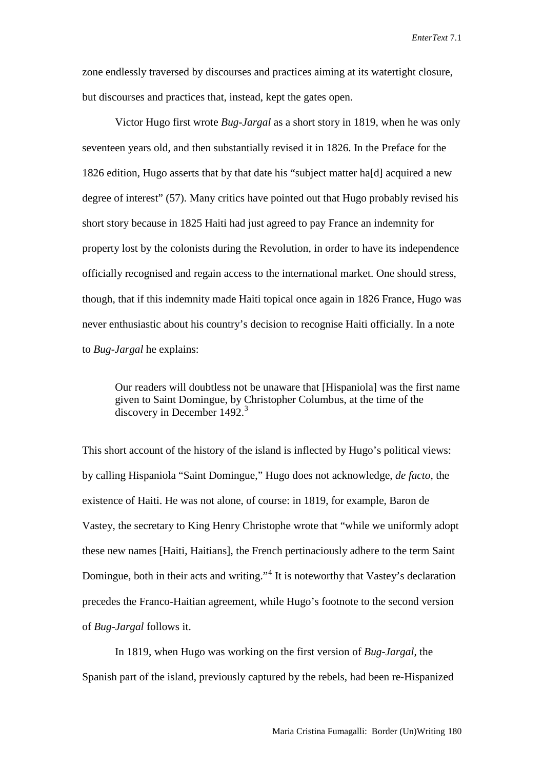zone endlessly traversed by discourses and practices aiming at its watertight closure, but discourses and practices that, instead, kept the gates open.

Victor Hugo first wrote *Bug-Jargal* as a short story in 1819, when he was only seventeen years old, and then substantially revised it in 1826. In the Preface for the 1826 edition, Hugo asserts that by that date his "subject matter ha[d] acquired a new degree of interest" (57). Many critics have pointed out that Hugo probably revised his short story because in 1825 Haiti had just agreed to pay France an indemnity for property lost by the colonists during the Revolution, in order to have its independence officially recognised and regain access to the international market. One should stress, though, that if this indemnity made Haiti topical once again in 1826 France, Hugo was never enthusiastic about his country's decision to recognise Haiti officially. In a note to *Bug-Jargal* he explains:

Our readers will doubtless not be unaware that [Hispaniola] was the first name given to Saint Domingue, by Christopher Columbus, at the time of the discovery in December 1492.<sup>[3](#page-16-0)</sup>

This short account of the history of the island is inflected by Hugo's political views: by calling Hispaniola "Saint Domingue," Hugo does not acknowledge, *de facto,* the existence of Haiti. He was not alone, of course: in 1819, for example, Baron de Vastey, the secretary to King Henry Christophe wrote that "while we uniformly adopt these new names [Haiti, Haitians], the French pertinaciously adhere to the term Saint Domingue, both in their acts and writing."<sup>[4](#page-16-1)</sup> It is noteworthy that Vastey's declaration precedes the Franco-Haitian agreement, while Hugo's footnote to the second version of *Bug-Jargal* follows it.

In 1819, when Hugo was working on the first version of *Bug-Jargal*, the Spanish part of the island, previously captured by the rebels, had been re-Hispanized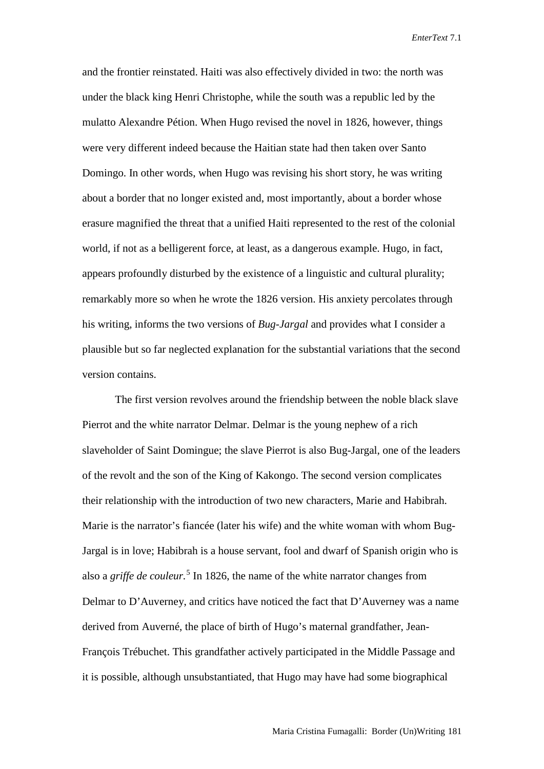and the frontier reinstated. Haiti was also effectively divided in two: the north was under the black king Henri Christophe, while the south was a republic led by the mulatto Alexandre Pétion. When Hugo revised the novel in 1826, however, things were very different indeed because the Haitian state had then taken over Santo Domingo. In other words, when Hugo was revising his short story, he was writing about a border that no longer existed and, most importantly, about a border whose erasure magnified the threat that a unified Haiti represented to the rest of the colonial world, if not as a belligerent force, at least, as a dangerous example. Hugo, in fact, appears profoundly disturbed by the existence of a linguistic and cultural plurality; remarkably more so when he wrote the 1826 version. His anxiety percolates through his writing, informs the two versions of *Bug-Jargal* and provides what I consider a plausible but so far neglected explanation for the substantial variations that the second version contains.

The first version revolves around the friendship between the noble black slave Pierrot and the white narrator Delmar. Delmar is the young nephew of a rich slaveholder of Saint Domingue; the slave Pierrot is also Bug-Jargal, one of the leaders of the revolt and the son of the King of Kakongo. The second version complicates their relationship with the introduction of two new characters, Marie and Habibrah. Marie is the narrator's fiancée (later his wife) and the white woman with whom Bug-Jargal is in love; Habibrah is a house servant, fool and dwarf of Spanish origin who is also a *griffe de couleur.* [5](#page-16-2) In 1826, the name of the white narrator changes from Delmar to D'Auverney, and critics have noticed the fact that D'Auverney was a name derived from Auverné, the place of birth of Hugo's maternal grandfather, Jean-François Trébuchet. This grandfather actively participated in the Middle Passage and it is possible, although unsubstantiated, that Hugo may have had some biographical

Maria Cristina Fumagalli: Border (Un)Writing 181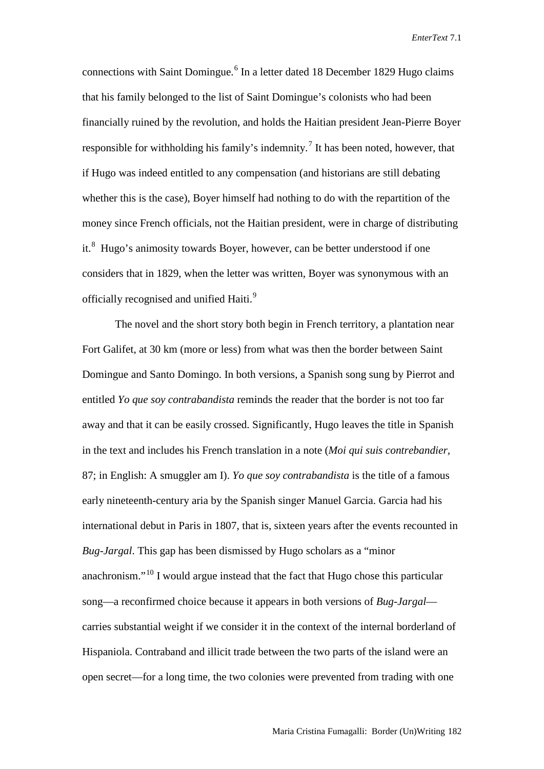connections with Saint Domingue.<sup>[6](#page-17-0)</sup> In a letter dated 18 December 1829 Hugo claims that his family belonged to the list of Saint Domingue's colonists who had been financially ruined by the revolution, and holds the Haitian president Jean-Pierre Boyer responsible for withholding his family's indemnity.<sup>[7](#page-17-1)</sup> It has been noted, however, that if Hugo was indeed entitled to any compensation (and historians are still debating whether this is the case), Boyer himself had nothing to do with the repartition of the money since French officials, not the Haitian president, were in charge of distributing it.<sup>[8](#page-17-2)</sup> Hugo's animosity towards Boyer, however, can be better understood if one considers that in 1829, when the letter was written, Boyer was synonymous with an officially recognised and unified Haiti.<sup>[9](#page-17-3)</sup>

The novel and the short story both begin in French territory, a plantation near Fort Galifet, at 30 km (more or less) from what was then the border between Saint Domingue and Santo Domingo. In both versions, a Spanish song sung by Pierrot and entitled *Yo que soy contrabandista* reminds the reader that the border is not too far away and that it can be easily crossed. Significantly, Hugo leaves the title in Spanish in the text and includes his French translation in a note (*Moi qui suis contrebandier,*  87; in English: A smuggler am I). *Yo que soy contrabandista* is the title of a famous early nineteenth-century aria by the Spanish singer Manuel Garcia. Garcia had his international debut in Paris in 1807, that is, sixteen years after the events recounted in *Bug-Jargal*. This gap has been dismissed by Hugo scholars as a "minor anachronism."[10](#page-17-4) I would argue instead that the fact that Hugo chose this particular song—a reconfirmed choice because it appears in both versions of *Bug-Jargal* carries substantial weight if we consider it in the context of the internal borderland of Hispaniola. Contraband and illicit trade between the two parts of the island were an open secret—for a long time, the two colonies were prevented from trading with one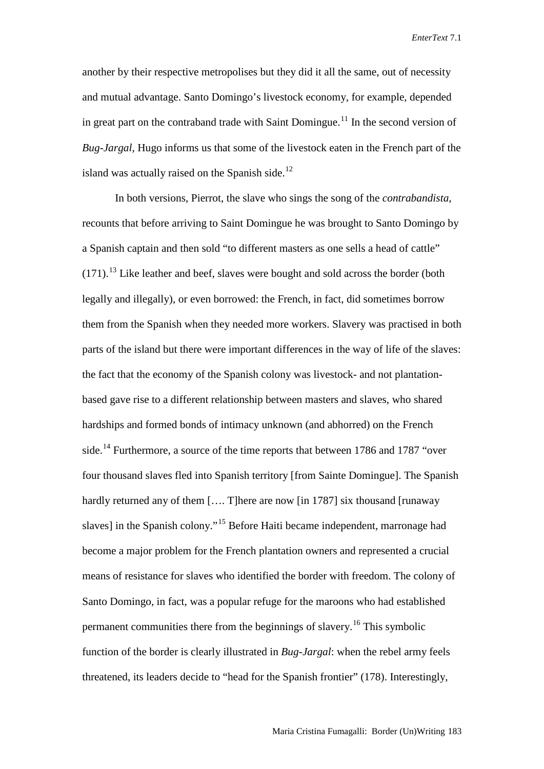another by their respective metropolises but they did it all the same, out of necessity and mutual advantage. Santo Domingo's livestock economy, for example, depended in great part on the contraband trade with Saint Domingue.<sup>[11](#page-17-5)</sup> In the second version of *Bug-Jargal*, Hugo informs us that some of the livestock eaten in the French part of the island was actually raised on the Spanish side.<sup>[12](#page-17-6)</sup>

In both versions, Pierrot, the slave who sings the song of the *contrabandista*, recounts that before arriving to Saint Domingue he was brought to Santo Domingo by a Spanish captain and then sold "to different masters as one sells a head of cattle"  $(171)$ .<sup>[13](#page-17-7)</sup> Like leather and beef, slaves were bought and sold across the border (both legally and illegally), or even borrowed: the French, in fact, did sometimes borrow them from the Spanish when they needed more workers. Slavery was practised in both parts of the island but there were important differences in the way of life of the slaves: the fact that the economy of the Spanish colony was livestock- and not plantationbased gave rise to a different relationship between masters and slaves, who shared hardships and formed bonds of intimacy unknown (and abhorred) on the French side.<sup>[14](#page-17-8)</sup> Furthermore, a source of the time reports that between 1786 and 1787 "over four thousand slaves fled into Spanish territory [from Sainte Domingue]. The Spanish hardly returned any of them [.... T]here are now [in 1787] six thousand [runaway slaves] in the Spanish colony."<sup>[15](#page-17-9)</sup> Before Haiti became independent, marronage had become a major problem for the French plantation owners and represented a crucial means of resistance for slaves who identified the border with freedom. The colony of Santo Domingo, in fact, was a popular refuge for the maroons who had established permanent communities there from the beginnings of slavery.<sup>[16](#page-17-10)</sup> This symbolic function of the border is clearly illustrated in *Bug-Jargal*: when the rebel army feels threatened, its leaders decide to "head for the Spanish frontier" (178). Interestingly,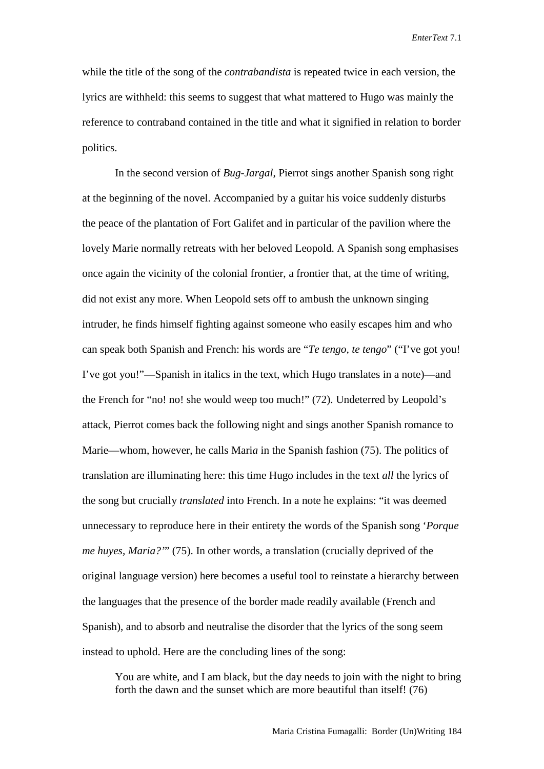while the title of the song of the *contrabandista* is repeated twice in each version, the lyrics are withheld: this seems to suggest that what mattered to Hugo was mainly the reference to contraband contained in the title and what it signified in relation to border politics.

In the second version of *Bug-Jargal*, Pierrot sings another Spanish song right at the beginning of the novel. Accompanied by a guitar his voice suddenly disturbs the peace of the plantation of Fort Galifet and in particular of the pavilion where the lovely Marie normally retreats with her beloved Leopold. A Spanish song emphasises once again the vicinity of the colonial frontier, a frontier that, at the time of writing, did not exist any more. When Leopold sets off to ambush the unknown singing intruder, he finds himself fighting against someone who easily escapes him and who can speak both Spanish and French: his words are "*Te tengo, te tengo*" ("I've got you! I've got you!"—Spanish in italics in the text, which Hugo translates in a note)—and the French for "no! no! she would weep too much!" (72). Undeterred by Leopold's attack, Pierrot comes back the following night and sings another Spanish romance to Marie—whom, however, he calls Mari*a* in the Spanish fashion (75). The politics of translation are illuminating here: this time Hugo includes in the text *all* the lyrics of the song but crucially *translated* into French. In a note he explains: "it was deemed unnecessary to reproduce here in their entirety the words of the Spanish song '*Porque me huyes, Maria?'*" (75). In other words, a translation (crucially deprived of the original language version) here becomes a useful tool to reinstate a hierarchy between the languages that the presence of the border made readily available (French and Spanish), and to absorb and neutralise the disorder that the lyrics of the song seem instead to uphold. Here are the concluding lines of the song:

You are white, and I am black, but the day needs to join with the night to bring forth the dawn and the sunset which are more beautiful than itself! (76)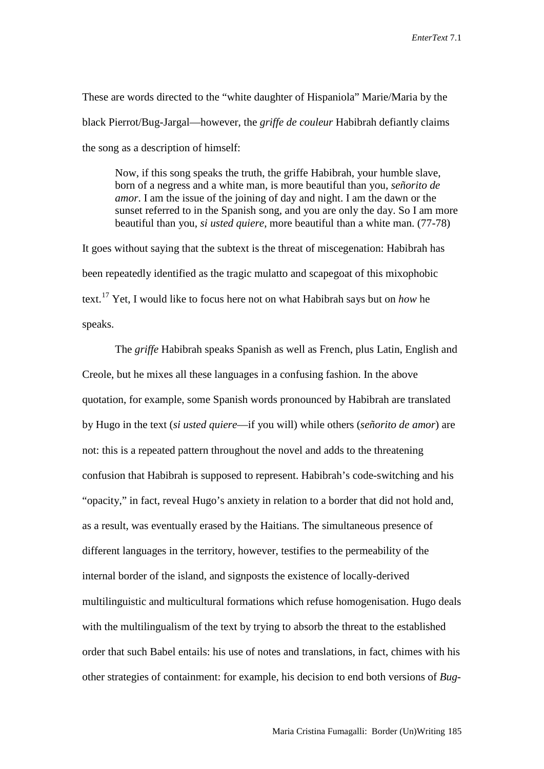These are words directed to the "white daughter of Hispaniola" Marie/Maria by the black Pierrot/Bug-Jargal—however, the *griffe de couleur* Habibrah defiantly claims the song as a description of himself:

Now, if this song speaks the truth, the griffe Habibrah, your humble slave, born of a negress and a white man, is more beautiful than you, *señorito de amor*. I am the issue of the joining of day and night. I am the dawn or the sunset referred to in the Spanish song, and you are only the day. So I am more beautiful than you, *si usted quiere*, more beautiful than a white man. (77-78)

It goes without saying that the subtext is the threat of miscegenation: Habibrah has been repeatedly identified as the tragic mulatto and scapegoat of this mixophobic text.[17](#page-17-11) Yet, I would like to focus here not on what Habibrah says but on *how* he speaks.

The *griffe* Habibrah speaks Spanish as well as French, plus Latin, English and Creole, but he mixes all these languages in a confusing fashion. In the above quotation, for example, some Spanish words pronounced by Habibrah are translated by Hugo in the text (*si usted quiere*—if you will) while others (*señorito de amor*) are not: this is a repeated pattern throughout the novel and adds to the threatening confusion that Habibrah is supposed to represent. Habibrah's code-switching and his "opacity," in fact, reveal Hugo's anxiety in relation to a border that did not hold and, as a result, was eventually erased by the Haitians. The simultaneous presence of different languages in the territory, however, testifies to the permeability of the internal border of the island, and signposts the existence of locally-derived multilinguistic and multicultural formations which refuse homogenisation. Hugo deals with the multilingualism of the text by trying to absorb the threat to the established order that such Babel entails: his use of notes and translations, in fact, chimes with his other strategies of containment: for example, his decision to end both versions of *Bug-*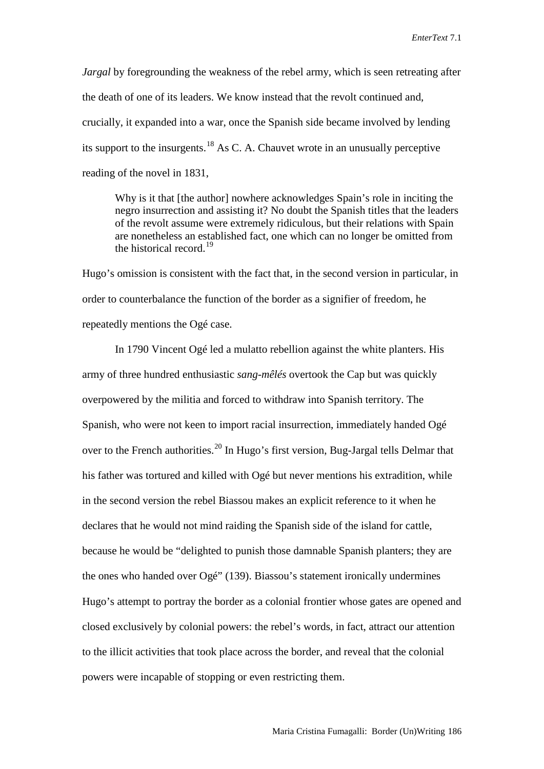*Jargal* by foregrounding the weakness of the rebel army, which is seen retreating after the death of one of its leaders. We know instead that the revolt continued and, crucially, it expanded into a war, once the Spanish side became involved by lending its support to the insurgents.<sup>[18](#page-17-12)</sup> As C. A. Chauvet wrote in an unusually perceptive reading of the novel in 1831,

Why is it that [the author] nowhere acknowledges Spain's role in inciting the negro insurrection and assisting it? No doubt the Spanish titles that the leaders of the revolt assume were extremely ridiculous, but their relations with Spain are nonetheless an established fact, one which can no longer be omitted from the historical record.[19](#page-17-13)

Hugo's omission is consistent with the fact that, in the second version in particular, in order to counterbalance the function of the border as a signifier of freedom, he repeatedly mentions the Ogé case.

In 1790 Vincent Ogé led a mulatto rebellion against the white planters. His army of three hundred enthusiastic *sang-mêlés* overtook the Cap but was quickly overpowered by the militia and forced to withdraw into Spanish territory. The Spanish, who were not keen to import racial insurrection, immediately handed Ogé over to the French authorities.<sup>[20](#page-17-14)</sup> In Hugo's first version, Bug-Jargal tells Delmar that his father was tortured and killed with Ogé but never mentions his extradition, while in the second version the rebel Biassou makes an explicit reference to it when he declares that he would not mind raiding the Spanish side of the island for cattle, because he would be "delighted to punish those damnable Spanish planters; they are the ones who handed over Ogé" (139). Biassou's statement ironically undermines Hugo's attempt to portray the border as a colonial frontier whose gates are opened and closed exclusively by colonial powers: the rebel's words, in fact, attract our attention to the illicit activities that took place across the border, and reveal that the colonial powers were incapable of stopping or even restricting them.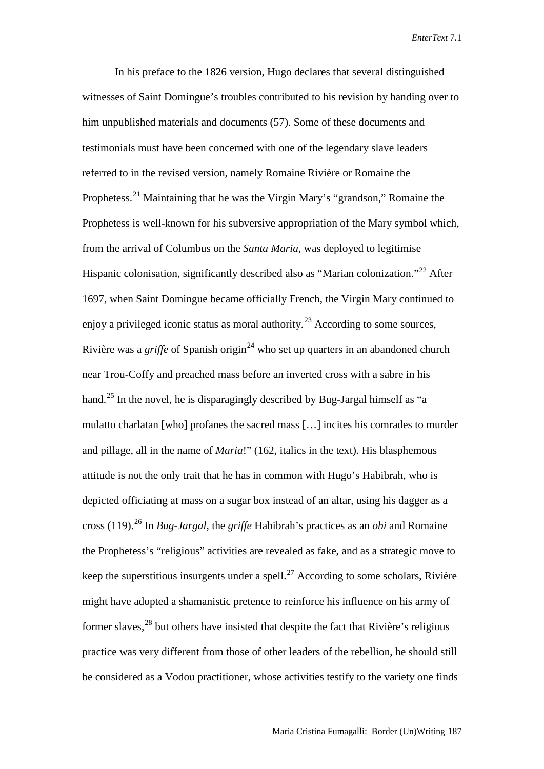In his preface to the 1826 version, Hugo declares that several distinguished witnesses of Saint Domingue's troubles contributed to his revision by handing over to him unpublished materials and documents (57). Some of these documents and testimonials must have been concerned with one of the legendary slave leaders referred to in the revised version, namely Romaine Rivière or Romaine the Prophetess.[21](#page-17-15) Maintaining that he was the Virgin Mary's "grandson," Romaine the Prophetess is well-known for his subversive appropriation of the Mary symbol which, from the arrival of Columbus on the *Santa Maria*, was deployed to legitimise Hispanic colonisation, significantly described also as "Marian colonization."<sup>[22](#page-17-16)</sup> After 1697, when Saint Domingue became officially French, the Virgin Mary continued to enjoy a privileged iconic status as moral authority.<sup>[23](#page-17-17)</sup> According to some sources, Rivière was a *griffe* of Spanish origin<sup>[24](#page-17-18)</sup> who set up quarters in an abandoned church near Trou-Coffy and preached mass before an inverted cross with a sabre in his hand.<sup>[25](#page-17-19)</sup> In the novel, he is disparagingly described by Bug-Jargal himself as "a mulatto charlatan [who] profanes the sacred mass […] incites his comrades to murder and pillage, all in the name of *Maria*!" (162, italics in the text). His blasphemous attitude is not the only trait that he has in common with Hugo's Habibrah, who is depicted officiating at mass on a sugar box instead of an altar, using his dagger as a cross (119).[26](#page-17-20) In *Bug-Jargal*, the *griffe* Habibrah's practices as an *obi* and Romaine the Prophetess's "religious" activities are revealed as fake, and as a strategic move to keep the superstitious insurgents under a spell.<sup>[27](#page-17-21)</sup> According to some scholars, Rivière might have adopted a shamanistic pretence to reinforce his influence on his army of former slaves,<sup>[28](#page-17-0)</sup> but others have insisted that despite the fact that Rivière's religious practice was very different from those of other leaders of the rebellion, he should still be considered as a Vodou practitioner, whose activities testify to the variety one finds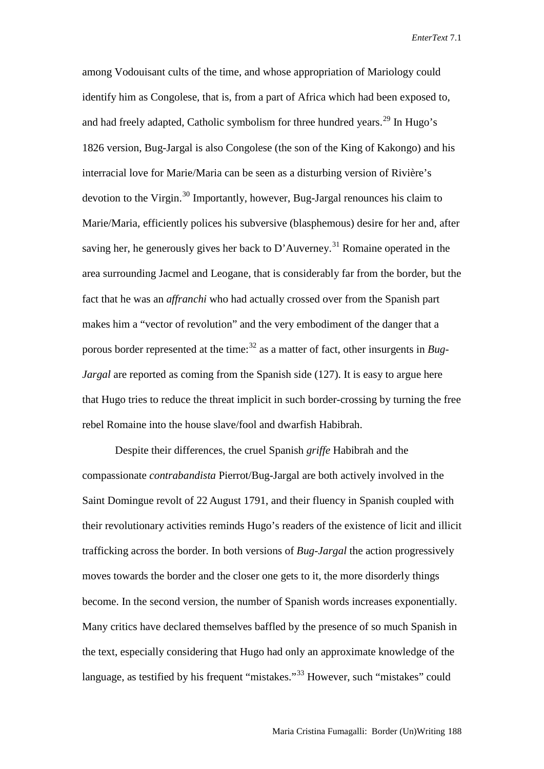among Vodouisant cults of the time, and whose appropriation of Mariology could identify him as Congolese, that is, from a part of Africa which had been exposed to, and had freely adapted, Catholic symbolism for three hundred years.<sup>[29](#page-17-22)</sup> In Hugo's 1826 version, Bug-Jargal is also Congolese (the son of the King of Kakongo) and his interracial love for Marie/Maria can be seen as a disturbing version of Rivière's devotion to the Virgin.[30](#page-17-23) Importantly, however, Bug-Jargal renounces his claim to Marie/Maria, efficiently polices his subversive (blasphemous) desire for her and, after saving her, he generously gives her back to D'Auverney.<sup>[31](#page-17-1)</sup> Romaine operated in the area surrounding Jacmel and Leogane, that is considerably far from the border, but the fact that he was an *affranchi* who had actually crossed over from the Spanish part makes him a "vector of revolution" and the very embodiment of the danger that a porous border represented at the time: [32](#page-17-24) as a matter of fact, other insurgents in *Bug-Jargal* are reported as coming from the Spanish side (127). It is easy to argue here that Hugo tries to reduce the threat implicit in such border-crossing by turning the free rebel Romaine into the house slave/fool and dwarfish Habibrah.

Despite their differences, the cruel Spanish *griffe* Habibrah and the compassionate *contrabandista* Pierrot/Bug-Jargal are both actively involved in the Saint Domingue revolt of 22 August 1791, and their fluency in Spanish coupled with their revolutionary activities reminds Hugo's readers of the existence of licit and illicit trafficking across the border. In both versions of *Bug-Jargal* the action progressively moves towards the border and the closer one gets to it, the more disorderly things become. In the second version, the number of Spanish words increases exponentially. Many critics have declared themselves baffled by the presence of so much Spanish in the text, especially considering that Hugo had only an approximate knowledge of the language, as testified by his frequent "mistakes."<sup>[33](#page-17-25)</sup> However, such "mistakes" could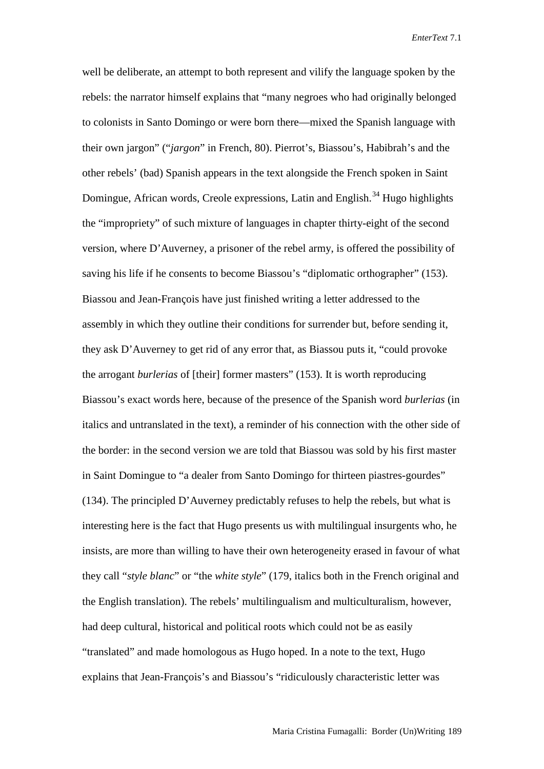well be deliberate, an attempt to both represent and vilify the language spoken by the rebels: the narrator himself explains that "many negroes who had originally belonged to colonists in Santo Domingo or were born there—mixed the Spanish language with their own jargon" ("*jargon*" in French, 80). Pierrot's, Biassou's, Habibrah's and the other rebels' (bad) Spanish appears in the text alongside the French spoken in Saint Domingue, African words, Creole expressions, Latin and English.<sup>[34](#page-17-26)</sup> Hugo highlights the "impropriety" of such mixture of languages in chapter thirty-eight of the second version, where D'Auverney, a prisoner of the rebel army, is offered the possibility of saving his life if he consents to become Biassou's "diplomatic orthographer" (153). Biassou and Jean-François have just finished writing a letter addressed to the assembly in which they outline their conditions for surrender but, before sending it, they ask D'Auverney to get rid of any error that, as Biassou puts it, "could provoke the arrogant *burlerias* of [their] former masters" (153). It is worth reproducing Biassou's exact words here, because of the presence of the Spanish word *burlerias* (in italics and untranslated in the text), a reminder of his connection with the other side of the border: in the second version we are told that Biassou was sold by his first master in Saint Domingue to "a dealer from Santo Domingo for thirteen piastres-gourdes" (134). The principled D'Auverney predictably refuses to help the rebels, but what is interesting here is the fact that Hugo presents us with multilingual insurgents who, he insists, are more than willing to have their own heterogeneity erased in favour of what they call "*style blanc*" or "the *white style*" (179, italics both in the French original and the English translation). The rebels' multilingualism and multiculturalism, however, had deep cultural, historical and political roots which could not be as easily "translated" and made homologous as Hugo hoped. In a note to the text, Hugo explains that Jean-François's and Biassou's "ridiculously characteristic letter was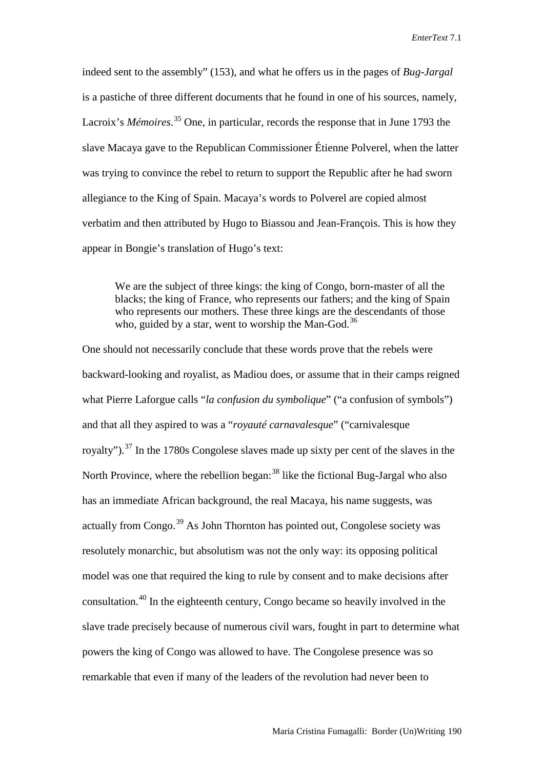indeed sent to the assembly" (153), and what he offers us in the pages of *Bug-Jargal*  is a pastiche of three different documents that he found in one of his sources, namely, Lacroix's *Mémoires*. [35](#page-17-27) One, in particular, records the response that in June 1793 the slave Macaya gave to the Republican Commissioner Étienne Polverel, when the latter was trying to convince the rebel to return to support the Republic after he had sworn allegiance to the King of Spain. Macaya's words to Polverel are copied almost verbatim and then attributed by Hugo to Biassou and Jean-François. This is how they appear in Bongie's translation of Hugo's text:

We are the subject of three kings: the king of Congo, born-master of all the blacks; the king of France, who represents our fathers; and the king of Spain who represents our mothers. These three kings are the descendants of those who, guided by a star, went to worship the Man-God.<sup>[36](#page-17-28)</sup>

One should not necessarily conclude that these words prove that the rebels were backward-looking and royalist, as Madiou does, or assume that in their camps reigned what Pierre Laforgue calls "*la confusion du symbolique*" ("a confusion of symbols") and that all they aspired to was a "*royauté carnavalesque*" ("carnivalesque royalty").<sup>[37](#page-17-29)</sup> In the 1780s Congolese slaves made up sixty per cent of the slaves in the North Province, where the rebellion began:  $38$  like the fictional Bug-Jargal who also has an immediate African background, the real Macaya, his name suggests, was actually from Congo.<sup>[39](#page-17-31)</sup> As John Thornton has pointed out, Congolese society was resolutely monarchic, but absolutism was not the only way: its opposing political model was one that required the king to rule by consent and to make decisions after consultation.[40](#page-17-13) In the eighteenth century, Congo became so heavily involved in the slave trade precisely because of numerous civil wars, fought in part to determine what powers the king of Congo was allowed to have. The Congolese presence was so remarkable that even if many of the leaders of the revolution had never been to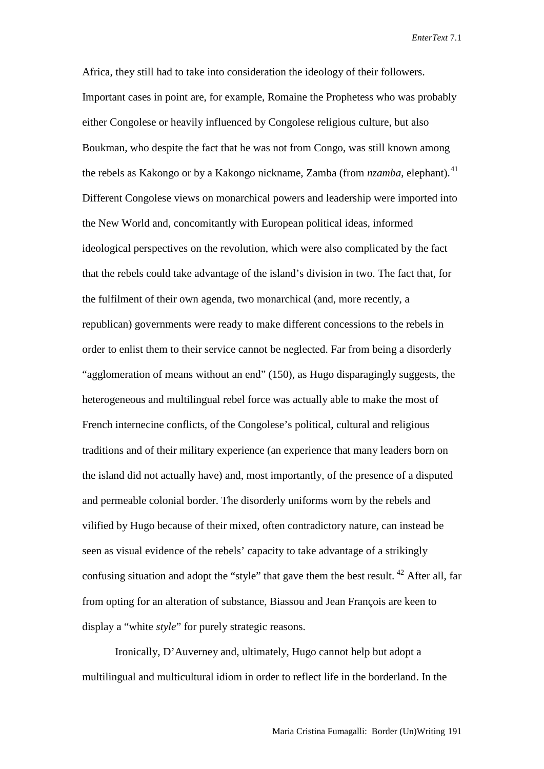Africa, they still had to take into consideration the ideology of their followers. Important cases in point are, for example, Romaine the Prophetess who was probably either Congolese or heavily influenced by Congolese religious culture, but also Boukman, who despite the fact that he was not from Congo, was still known among the rebels as Kakongo or by a Kakongo nickname, Zamba (from *nzamba*, elephant).<sup>[41](#page-17-32)</sup> Different Congolese views on monarchical powers and leadership were imported into the New World and, concomitantly with European political ideas, informed ideological perspectives on the revolution, which were also complicated by the fact that the rebels could take advantage of the island's division in two. The fact that, for the fulfilment of their own agenda, two monarchical (and, more recently, a republican) governments were ready to make different concessions to the rebels in order to enlist them to their service cannot be neglected. Far from being a disorderly "agglomeration of means without an end" (150), as Hugo disparagingly suggests, the heterogeneous and multilingual rebel force was actually able to make the most of French internecine conflicts, of the Congolese's political, cultural and religious traditions and of their military experience (an experience that many leaders born on the island did not actually have) and, most importantly, of the presence of a disputed and permeable colonial border. The disorderly uniforms worn by the rebels and vilified by Hugo because of their mixed, often contradictory nature, can instead be seen as visual evidence of the rebels' capacity to take advantage of a strikingly confusing situation and adopt the "style" that gave them the best result. <sup>[42](#page-17-33)</sup> After all, far from opting for an alteration of substance, Biassou and Jean François are keen to display a "white *style*" for purely strategic reasons.

Ironically, D'Auverney and, ultimately, Hugo cannot help but adopt a multilingual and multicultural idiom in order to reflect life in the borderland. In the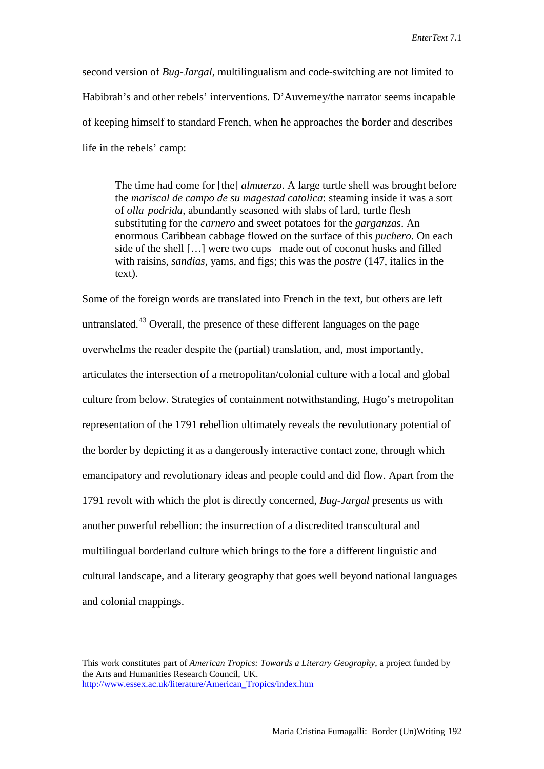second version of *Bug-Jargal*, multilingualism and code-switching are not limited to Habibrah's and other rebels' interventions. D'Auverney/the narrator seems incapable of keeping himself to standard French, when he approaches the border and describes life in the rebels' camp:

The time had come for [the] *almuerzo*. A large turtle shell was brought before the *mariscal de campo de su magestad catolica*: steaming inside it was a sort of *olla podrida*, abundantly seasoned with slabs of lard, turtle flesh substituting for the *carnero* and sweet potatoes for the *garganzas*. An enormous Caribbean cabbage flowed on the surface of this *puchero*. On each side of the shell […] were two cups made out of coconut husks and filled with raisins, *sandias*, yams, and figs; this was the *postre* (147, italics in the text).

Some of the foreign words are translated into French in the text, but others are left untranslated.<sup>[43](#page-17-34)</sup> Overall, the presence of these different languages on the page overwhelms the reader despite the (partial) translation, and, most importantly, articulates the intersection of a metropolitan/colonial culture with a local and global culture from below. Strategies of containment notwithstanding, Hugo's metropolitan representation of the 1791 rebellion ultimately reveals the revolutionary potential of the border by depicting it as a dangerously interactive contact zone, through which emancipatory and revolutionary ideas and people could and did flow. Apart from the 1791 revolt with which the plot is directly concerned, *Bug-Jargal* presents us with another powerful rebellion: the insurrection of a discredited transcultural and multilingual borderland culture which brings to the fore a different linguistic and cultural landscape, and a literary geography that goes well beyond national languages and colonial mappings.

This work constitutes part of *American Tropics: Towards a Literary Geography*, a project funded by the Arts and Humanities Research Council, UK. [http://www.essex.ac.uk/literature/American\\_Tropics/index.htm](http://www.essex.ac.uk/literature/American_Tropics/index.htm)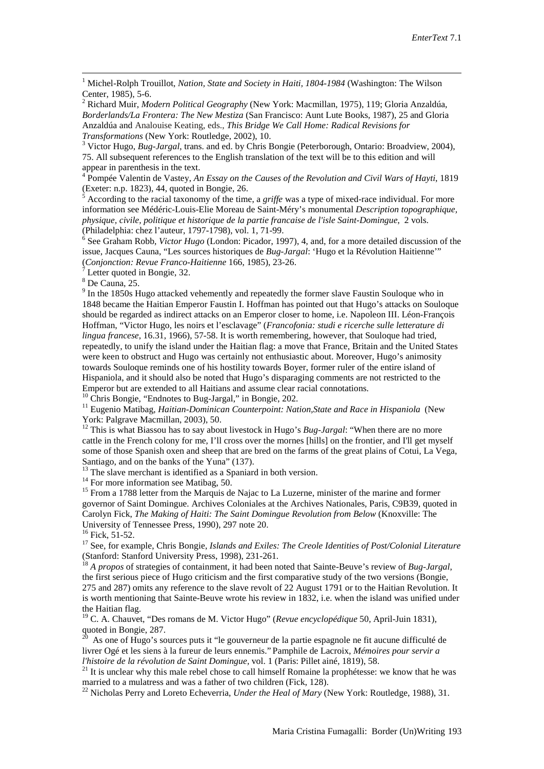1 Michel-Rolph Trouillot, *Nation, State and Society in Haiti, 1804-1984* (Washington: The Wilson Center, 1985), 5-6. <sup>2</sup> Richard Muir, *Modern Political Geography* (New York: Macmillan, 1975), 119; Gloria Anzaldúa,

<span id="page-15-1"></span>*Borderlands/La Frontera: The New Mestiza* (San Francisco: Aunt Lute Books, 1987), 25 and Gloria Anzaldúa and Analouise Keating, eds., *This Bridge We Call Home: Radical Revisions for Transformations* (New York: Routledge, 2002), 10.<br><sup>3</sup> Victor Hugo, *Bug-Jargal*, trans. and ed. by Chris Bongie (Peterborough, Ontario: Broadview, 2004),

75. All subsequent references to the English translation of the text will be to this edition and will

<sup>4</sup> Pompée Valentin de Vastey, *An Essay on the Causes of the Revolution and Civil Wars of Hayti*, 1819 (Exeter: n.p. 1823), 44, quoted in Bongie, 26.

 $\frac{1}{5}$  According to the racial taxonomy of the time, a *griffe* was a type of mixed-race individual. For more information see Médéric-Louis-Elie Moreau de Saint-Méry's monumental *Description topographique, physique, civile, politique et historique de la partie francaise de l'isle Saint-Domingue*, 2 vols. (Philadelphia: chez l'auteur, 1797-1798), vol. 1, 71-99.<br><sup>6</sup> See Graham Robb, *Victor Hugo* (London: Picador, 1997), 4, and, for a more detailed discussion of the

issue, Jacques Cauna, "Les sources historiques de *Bug-Jargal*: 'Hugo et la Révolution Haitienne'" (*Conjonction: Revue Franco-Haitienne* 166, 1985), 23-26.<sup>7</sup><br><sup>7</sup> Letter quoted in Bongie, 32.<br><sup>8</sup> De Cauna, 25.

<sup>9</sup> In the 1850s Hugo attacked vehemently and repeatedly the former slave Faustin Souloque who in 1848 became the Haitian Emperor Faustin I. Hoffman has pointed out that Hugo's attacks on Souloque should be regarded as indirect attacks on an Emperor closer to home, i.e. Napoleon III. Léon-François Hoffman, "Victor Hugo, les noirs et l'esclavage" (*Francofonia: studi e ricerche sulle letterature di lingua francese*, 16.31, 1966), 57-58. It is worth remembering, however, that Souloque had tried, repeatedly, to unify the island under the Haitian flag: a move that France, Britain and the United States were keen to obstruct and Hugo was certainly not enthusiastic about. Moreover, Hugo's animosity towards Souloque reminds one of his hostility towards Boyer, former ruler of the entire island of Hispaniola, and it should also be noted that Hugo's disparaging comments are not restricted to the Emperor but are extended to all Haitians and assume clear racial connotations.

<sup>10</sup> Chris Bongie, "Endnotes to Bug-Jargal," in Bongie, 202.<br><sup>11</sup> Eugenio Matibag, *Haitian-Dominican Counterpoint: Nation, State and Race in Hispaniola* (New York: Palgrave Macmillan, 2003), 50.<br><sup>12</sup> This is what Biassou has to say about livestock in Hugo's *Bug-Jargal*: "When there are no more

cattle in the French colony for me, I'll cross over the mornes [hills] on the frontier, and I'll get myself some of those Spanish oxen and sheep that are bred on the farms of the great plains of Cotui, La Vega, Santiago, and on the banks of the Yuna" (137).<br>
<sup>13</sup> The slave merchant is identified as a Spaniard in both version.<br>
<sup>14</sup> For more information see Matibag, 50.<br>
<sup>15</sup> From a 1788 letter from the Marquis de Najac to La Luz

governor of Saint Domingue. Archives Coloniales at the Archives Nationales, Paris, C9B39, quoted in Carolyn Fick, *The Making of Haiti: The Saint Domingue Revolution from Below* (Knoxville: The

University of Tennessee Press, 1990), 297 note 20.<br><sup>16</sup> Fick, 51-52.<br><sup>17</sup> See, for example, Chris Bongie, *Islands and Exiles: The Creole Identities of Post/Colonial Literature*<br>(Stanford: Stanford University Press, 1998),

<sup>18</sup> *A propos* of strategies of containment, it had been noted that Sainte-Beuve's review of *Bug-Jargal*, the first serious piece of Hugo criticism and the first comparative study of the two versions (Bongie, 275 and 287) omits any reference to the slave revolt of 22 August 1791 or to the Haitian Revolution. It is worth mentioning that Sainte-Beuve wrote his review in 1832, i.e. when the island was unified under the Haitian flag.

<sup>19</sup> C. A. Chauvet, "Des romans de M. Victor Hugo" (*Revue encyclopédique* 50, April-Juin 1831), quoted in Bongie, 287.<br><sup>20</sup> As one of Hugo's sources puts it "le gouverneur de la partie espagnole ne fit aucune difficulté de

livrer Ogé et les siens à la fureur de leurs ennemis." Pamphile de Lacroix, *Mémoires pour servir a* 

<span id="page-15-0"></span><sup>21</sup> It is unclear why this male rebel chose to call himself Romaine la prophétesse: we know that he was married to a mulatress and was a father of two children (Fick, 128).<br><sup>22</sup> Nicholas Perry and Loreto Echeverria, *Under the Heal of Mary* (New York: Routledge, 1988), 31.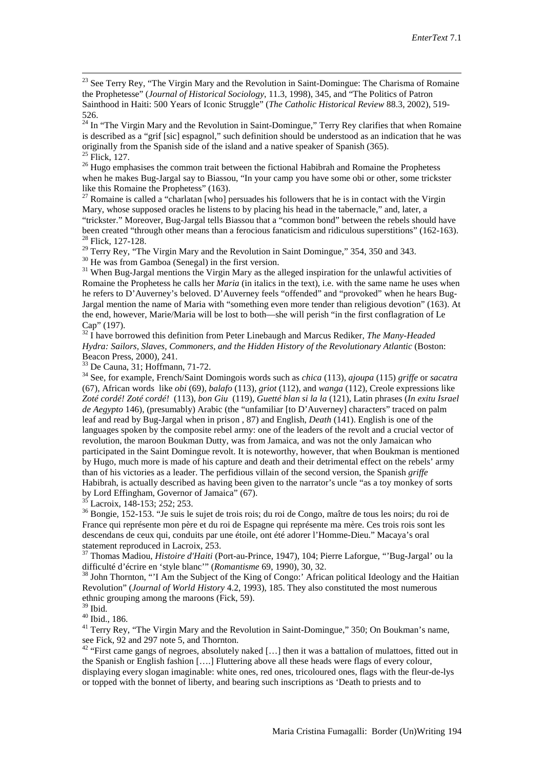$^{23}$  See Terry Rey, "The Virgin Mary and the Revolution in Saint-Domingue: The Charisma of Romaine the Prophetesse" (*Journal of Historical Sociology*, 11.3, 1998), 345, and "The Politics of Patron Sainthood in Haiti: 500 Years of Iconic Struggle" (*The Catholic Historical Review* 88.3, 2002), 519- 526.

 $24$  In "The Virgin Mary and the Revolution in Saint-Domingue," Terry Rey clarifies that when Romaine is described as a "grif [sic] espagnol," such definition should be understood as an indication that he was originally from the Spanish side of the island and a native speaker of Spanish (365).<br><sup>25</sup> Flick, 127.

<span id="page-16-1"></span><span id="page-16-0"></span> $26$  Hugo emphasises the common trait between the fictional Habibrah and Romaine the Prophetess when he makes Bug-Jargal say to Biassou, "In your camp you have some obi or other, some trickster like this Romaine the Prophetess" (163).

<span id="page-16-2"></span><sup>27</sup> Romaine is called a "charlatan [who] persuades his followers that he is in contact with the Virgin Mary, whose supposed oracles he listens to by placing his head in the tabernacle," and, later, a "trickster." Moreover, Bug-Jargal tells Biassou that a "common bond" between the rebels should have<br>been created "through other means than a ferocious fanaticism and ridiculous superstitions" (162-163).

<sup>28</sup> Flick, 127-128.<br><sup>29</sup> Terry Rey, "The Virgin Mary and the Revolution in Saint Domingue," 354, 350 and 343.<br><sup>30</sup> He was from Gamboa (Senegal) in the first version.<br><sup>31</sup> When Bug-Jargal mentions the Virgin Mary as the a

Romaine the Prophetess he calls her *Maria* (in italics in the text), i.e. with the same name he uses when he refers to D'Auverney's beloved. D'Auverney feels "offended" and "provoked" when he hears Bug-Jargal mention the name of Maria with "something even more tender than religious devotion" (163). At the end, however, Marie/Maria will be lost to both—she will perish "in the first conflagration of Le Cap" (197). <sup>32</sup> I have borrowed this definition from Peter Linebaugh and Marcus Rediker, *The Many-Headed* 

*Hydra: Sailors, Slaves, Commoners, and the Hidden History of the Revolutionary Atlantic* (Boston: Beacon Press. 2000). 241.

<sup>33</sup> De Cauna, 31; Hoffmann, 71-72.<br><sup>34</sup> See, for example, French/Saint Domingois words such as *chica* (113), *ajoupa* (115) *griffe* or *sacatra* (67), African words like *obi* (69), *balafo* (113), *griot* (112), and *wanga* (112), Creole expressions like *Zoté cordé! Zoté cordé!* (113), *bon Giu* (119), *Guetté blan si la la* (121), Latin phrases (*In exitu Israel de Aegypto* 146), (presumably) Arabic (the "unfamiliar [to D'Auverney] characters" traced on palm leaf and read by Bug-Jargal when in prison , 87) and English, *Death* (141). English is one of the languages spoken by the composite rebel army: one of the leaders of the revolt and a crucial vector of revolution, the maroon Boukman Dutty, was from Jamaica, and was not the only Jamaican who participated in the Saint Domingue revolt. It is noteworthy, however, that when Boukman is mentioned by Hugo, much more is made of his capture and death and their detrimental effect on the rebels' army than of his victories as a leader. The perfidious villain of the second version, the Spanish *griffe* Habibrah, is actually described as having been given to the narrator's uncle "as a toy monkey of sorts

by Lord Effingham, Governor of Jamaica" (67).<br><sup>35</sup> Lacroix, 148-153; 252; 253.<br><sup>36</sup> Bongie, 152-153. "Je suis le sujet de trois rois; du roi de Congo, maître de tous les noirs; du roi de France qui représente mon père et du roi de Espagne qui représente ma mère. Ces trois rois sont les descendans de ceux qui, conduits par une étoile, ont été adorer l'Homme-Dieu." Macaya's oral statement reproduced in Lacroix, 253.

<sup>37</sup> Thomas Madiou, *Histoire d'Haiti* (Port-au-Prince, 1947), 104; Pierre Laforgue, "'Bug-Jargal' ou la difficulté d'écrire en 'style blanc'" (*Romantisme* 69, 1990), 30, 32.

<sup>38</sup> John Thornton, "'I Am the Subject of the King of Congo:' African political Ideology and the Haitian Revolution" (*Journal of World History* 4.2, 1993), 185. They also constituted the most numerous ethnic grouping among the maroons (Fick, 59).<br><sup>39</sup> Ibid

<sup>40</sup> Ibid., 186.<br><sup>41</sup> Terry Rey, "The Virgin Mary and the Revolution in Saint-Domingue," 350; On Boukman's name, see Fick, 92 and 297 note 5, and Thornton.

<sup>42</sup> "First came gangs of negroes, absolutely naked [...] then it was a battalion of mulattoes, fitted out in the Spanish or English fashion [….] Fluttering above all these heads were flags of every colour, displaying every slogan imaginable: white ones, red ones, tricoloured ones, flags with the fleur-de-lys or topped with the bonnet of liberty, and bearing such inscriptions as 'Death to priests and to